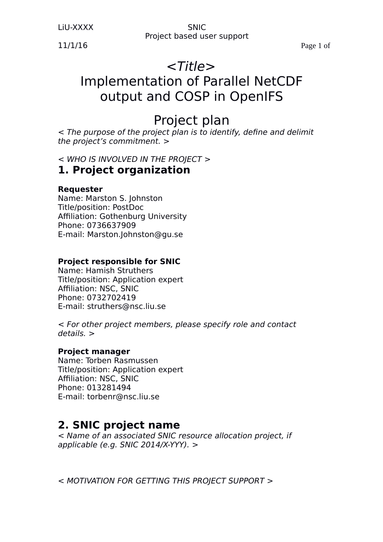LiU-XXXX SNIC

Project based user support

11/1/16 Page 1 of

# <Title>

# Implementation of Parallel NetCDF output and COSP in OpenIFS

# Project plan

< The purpose of the project plan is to identify, define and delimit the project's commitment. >

< WHO IS INVOLVED IN THE PROJECT >

# **1. Project organization**

## **Requester**

Name: Marston S. Johnston Title/position: PostDoc Affiliation: Gothenburg University Phone: 0736637909 E-mail: Marston.Johnston@gu.se

## **Project responsible for SNIC**

Name: Hamish Struthers Title/position: Application expert Affiliation: NSC, SNIC Phone: 0732702419 E-mail: struthers@nsc.liu.se

< For other project members, please specify role and contact details. >

## **Project manager**

Name: Torben Rasmussen Title/position: Application expert Affiliation: NSC, SNIC Phone: 013281494 E-mail: torbenr@nsc.liu.se

# **2. SNIC project name**

< Name of an associated SNIC resource allocation project, if applicable (e.g. SNIC 2014/X-YYY). >

< MOTIVATION FOR GETTING THIS PROJECT SUPPORT >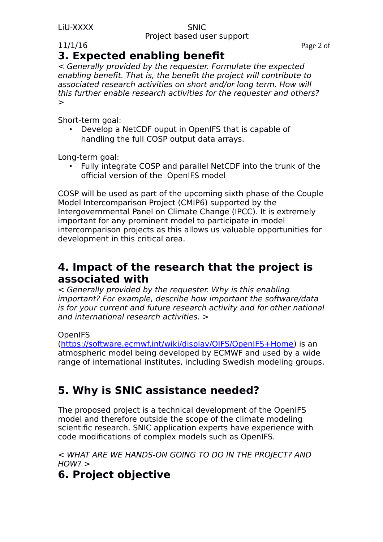### LiU-XXXX SNIC Project based user support

11/1/16 Page 2 of

# **3. Expected enabling benefit**

< Generally provided by the requester. Formulate the expected enabling benefit. That is, the benefit the project will contribute to associated research activities on short and/or long term. How will this further enable research activities for the requester and others? >

Short-term goal:

• Develop a NetCDF ouput in OpenIFS that is capable of handling the full COSP output data arrays.

Long-term goal:

• Fully integrate COSP and parallel NetCDF into the trunk of the official version of the OpenIFS model

COSP will be used as part of the upcoming sixth phase of the Couple Model Intercomparison Project (CMIP6) supported by the Intergovernmental Panel on Climate Change (IPCC). It is extremely important for any prominent model to participate in model intercomparison projects as this allows us valuable opportunities for development in this critical area.

# **4. Impact of the research that the project is associated with**

< Generally provided by the requester. Why is this enabling important? For example, describe how important the software/data is for your current and future research activity and for other national and international research activities. >

## OpenIFS

[\(https://software.ecmwf.int/wiki/display/OIFS/OpenIFS+Home\)](https://software.ecmwf.int/wiki/display/OIFS/OpenIFS+Home) is an atmospheric model being developed by ECMWF and used by a wide range of international institutes, including Swedish modeling groups.

# **5. Why is SNIC assistance needed?**

The proposed project is a technical development of the OpenIFS model and therefore outside the scope of the climate modeling scientific research. SNIC application experts have experience with code modifications of complex models such as OpenIFS.

< WHAT ARE WE HANDS-ON GOING TO DO IN THE PROJECT? AND  $HOW? >$ 

# **6. Project objective**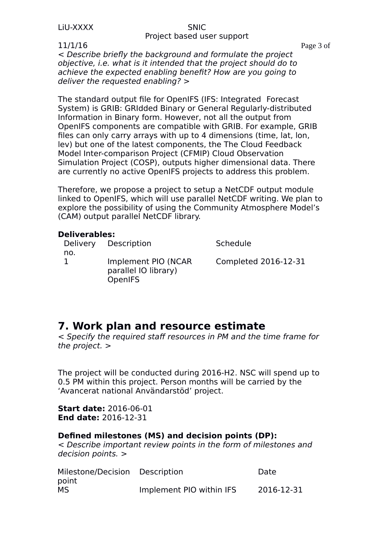### Project based user support

11/1/16 Page 3 of

< Describe briefly the background and formulate the project objective, i.e. what is it intended that the project should do to achieve the expected enabling benefit? How are you going to deliver the requested enabling? >

The standard output file for OpenIFS (IFS: Integrated Forecast System) is GRIB: GRIdded Binary or General Regularly-distributed Information in Binary form. However, not all the output from OpenIFS components are compatible with GRIB. For example, GRIB files can only carry arrays with up to 4 dimensions (time, lat, lon, lev) but one of the latest components, the The Cloud Feedback Model Inter-comparison Project (CFMIP) Cloud Observation Simulation Project (COSP), outputs higher dimensional data. There are currently no active OpenIFS projects to address this problem.

Therefore, we propose a project to setup a NetCDF output module linked to OpenIFS, which will use parallel NetCDF writing. We plan to explore the possibility of using the Community Atmosphere Model's (CAM) output parallel NetCDF library.

### **Deliverables:**

|     | Delivery Description                                          | Schedule             |
|-----|---------------------------------------------------------------|----------------------|
| no. | Implement PIO (NCAR<br>parallel IO library)<br><b>OpenIFS</b> | Completed 2016-12-31 |

# **7. Work plan and resource estimate**

< Specify the required staff resources in PM and the time frame for the project. >

The project will be conducted during 2016-H2. NSC will spend up to 0.5 PM within this project. Person months will be carried by the 'Avancerat national Användarstöd' project.

**Start date:** 2016-06-01 **End date:** 2016-12-31

## **Defined milestones (MS) and decision points (DP):**

< Describe important review points in the form of milestones and decision points. >

| Milestone/Decision Description |                          | Date       |
|--------------------------------|--------------------------|------------|
| point                          |                          |            |
| MS                             | Implement PIO within IFS | 2016-12-31 |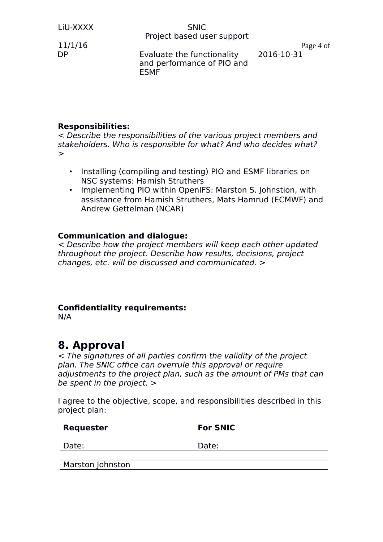### LiU-XXXX SNIC Project based user support

DP Evaluate the functionality and performance of PIO and ESMF

11/1/16 Page 4 of 2016-10-31

## **Responsibilities:**

< Describe the responsibilities of the various project members and stakeholders. Who is responsible for what? And who decides what? >

- Installing (compiling and testing) PIO and ESMF libraries on NSC systems: Hamish Struthers
- Implementing PIO within OpenIFS: Marston S. Johnstion, with assistance from Hamish Struthers, Mats Hamrud (ECMWF) and Andrew Gettelman (NCAR)

### **Communication and dialogue:**

< Describe how the project members will keep each other updated throughout the project. Describe how results, decisions, project changes, etc. will be discussed and communicated. >

## **Confidentiality requirements:**

N/A

# **8. Approval**

< The signatures of all parties confirm the validity of the project plan. The SNIC office can overrule this approval or require adjustments to the project plan, such as the amount of PMs that can be spent in the project. >

I agree to the objective, scope, and responsibilities described in this project plan:

| Requester        | <b>For SNIC</b> |
|------------------|-----------------|
| Date:            | Date:           |
|                  |                 |
| Marston Johnston |                 |